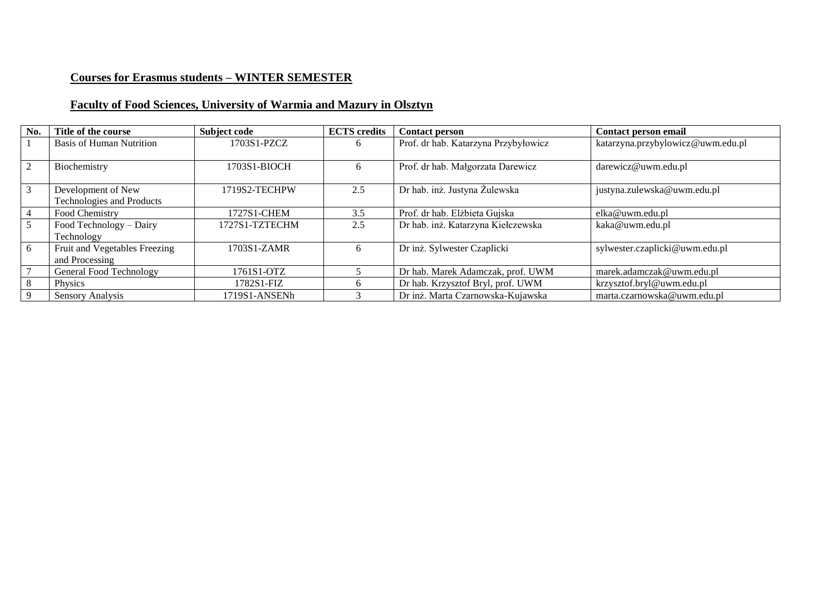# **Courses for Erasmus students – WINTER SEMESTER**

# **Faculty of Food Sciences, University of Warmia and Mazury in Olsztyn**

| No. | Title of the course              | <b>Subject code</b> | <b>ECTS</b> credits | <b>Contact person</b>                | Contact person email              |
|-----|----------------------------------|---------------------|---------------------|--------------------------------------|-----------------------------------|
|     | <b>Basis of Human Nutrition</b>  | 1703S1-PZCZ         | 6                   | Prof. dr hab. Katarzyna Przybyłowicz | katarzyna.przybylowicz@uwm.edu.pl |
|     | Biochemistry                     | 1703S1-BIOCH        | 6                   | Prof. dr hab. Małgorzata Darewicz    | darewicz@uwm.edu.pl               |
| 3   | Development of New               | 1719S2-TECHPW       | 2.5                 | Dr hab. inż. Justyna Żulewska        | justyna.zulewska@uwm.edu.pl       |
|     | <b>Technologies and Products</b> |                     |                     |                                      |                                   |
|     | Food Chemistry                   | 1727S1-CHEM         | 3.5                 | Prof. dr hab. Elżbieta Gujska        | elka@uwm.edu.pl                   |
|     | Food Technology - Dairy          | 1727S1-TZTECHM      | 2.5                 | Dr hab. inż. Katarzyna Kiełczewska   | kaka@uwm.edu.pl                   |
|     | Technology                       |                     |                     |                                      |                                   |
| 6   | Fruit and Vegetables Freezing    | 1703S1-ZAMR         | 6                   | Dr inż. Sylwester Czaplicki          | sylwester.czaplicki@uwm.edu.pl    |
|     | and Processing                   |                     |                     |                                      |                                   |
|     | <b>General Food Technology</b>   | 1761S1-OTZ          |                     | Dr hab. Marek Adamczak, prof. UWM    | marek.adamczak@uwm.edu.pl         |
|     | Physics                          | 1782S1-FIZ          | 6                   | Dr hab. Krzysztof Bryl, prof. UWM    | krzysztof.bryl@uwm.edu.pl         |
|     | <b>Sensory Analysis</b>          | 1719S1-ANSENh       |                     | Dr inż. Marta Czarnowska-Kujawska    | marta.czarnowska@uwm.edu.pl       |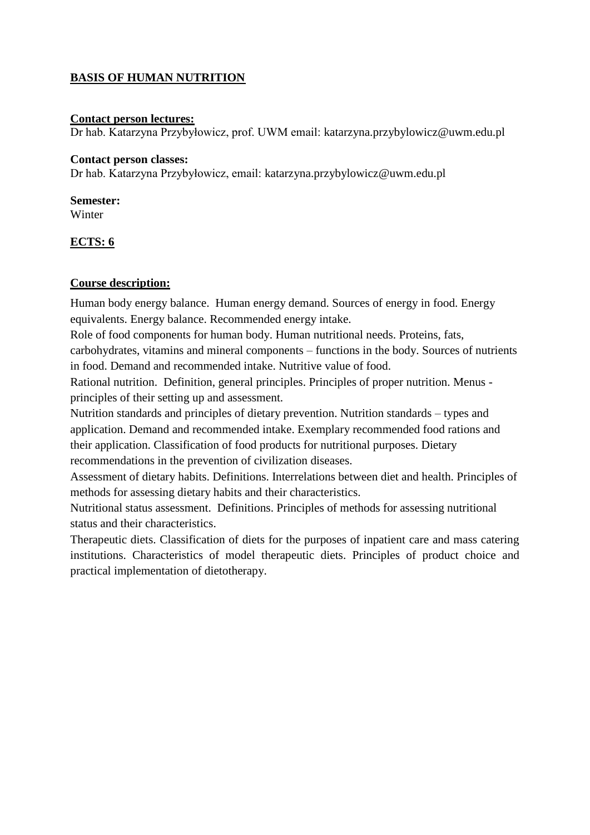## **BASIS OF HUMAN NUTRITION**

### **Contact person lectures:**

Dr hab. Katarzyna Przybyłowicz, prof. UWM email: [katarzyna.przybylowicz@uwm.edu.pl](mailto:katarzyna.przybylowicz@uwm.edu.pl)

#### **Contact person classes:**

Dr hab. Katarzyna Przybyłowicz, email: [katarzyna.przybylowicz@uwm.edu.pl](mailto:katarzyna.przybylowicz@uwm.edu.pl)

# **Semester:**

Winter

## **ECTS: 6**

## **Course description:**

Human body energy balance. Human energy demand. Sources of energy in food. Energy equivalents. Energy balance. Recommended energy intake.

Role of food components for human body. Human nutritional needs. Proteins, fats, carbohydrates, vitamins and mineral components – functions in the body. Sources of nutrients in food. Demand and recommended intake. Nutritive value of food.

Rational nutrition. Definition, general principles. Principles of proper nutrition. Menus principles of their setting up and assessment.

Nutrition standards and principles of dietary prevention. Nutrition standards – types and application. Demand and recommended intake. Exemplary recommended food rations and their application. Classification of food products for nutritional purposes. Dietary recommendations in the prevention of civilization diseases.

Assessment of dietary habits. Definitions. Interrelations between diet and health. Principles of methods for assessing dietary habits and their characteristics.

Nutritional status assessment. Definitions. Principles of methods for assessing nutritional status and their characteristics.

Therapeutic diets. Classification of diets for the purposes of inpatient care and mass catering institutions. Characteristics of model therapeutic diets. Principles of product choice and practical implementation of dietotherapy.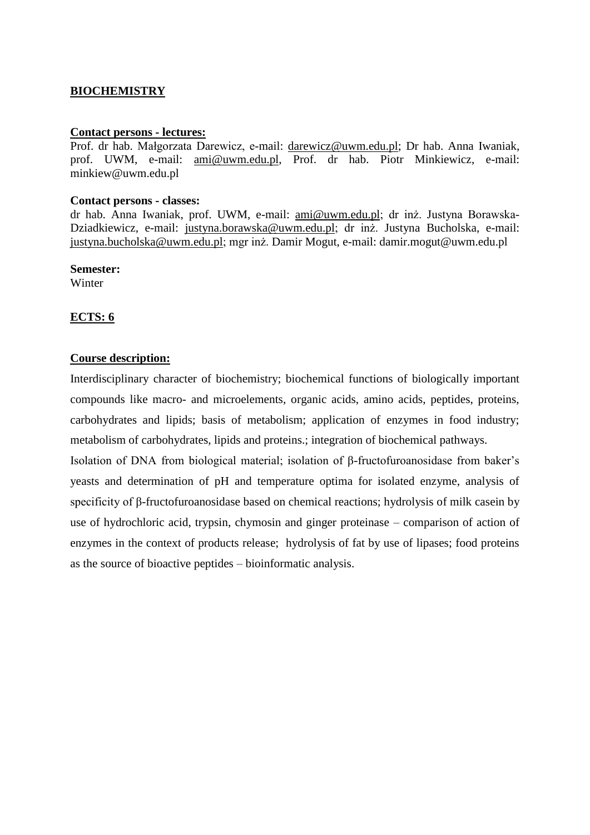## **BIOCHEMISTRY**

#### **Contact persons - lectures:**

Prof. dr hab. Małgorzata Darewicz, e-mail: [darewicz@uwm.edu.pl;](mailto:darewicz@uwm.edu.pl) Dr hab. Anna Iwaniak, prof. UWM, e-mail: [ami@uwm.edu.pl,](mailto:ami@uwm.edu.pl) Prof. dr hab. Piotr Minkiewicz, e-mail: minkiew@uwm.edu.pl

#### **Contact persons - classes:**

dr hab. Anna Iwaniak, prof. UWM, e-mail: [ami@uwm.edu.pl;](mailto:ami@uwm.edu.pl) dr inż. Justyna Borawska-Dziadkiewicz, e-mail: [justyna.borawska@uwm.edu.pl;](mailto:justyna.borawska@uwm.edu.pl) dr inż. Justyna Bucholska, e-mail: [justyna.bucholska@uwm.edu.pl;](mailto:justyna.bucholska@uwm.edu.pl) mgr inż. Damir Mogut, e-mail: damir.mogut@uwm.edu.pl

**Semester:**

Winter

### **ECTS: 6**

#### **Course description:**

Interdisciplinary character of biochemistry; biochemical functions of biologically important compounds like macro- and microelements, organic acids, amino acids, peptides, proteins, carbohydrates and lipids; basis of metabolism; application of enzymes in food industry; metabolism of carbohydrates, lipids and proteins.; integration of biochemical pathways.

Isolation of DNA from biological material; isolation of β-fructofuroanosidase from baker's yeasts and determination of pH and temperature optima for isolated enzyme, analysis of specificity of β-fructofuroanosidase based on chemical reactions; hydrolysis of milk casein by use of hydrochloric acid, trypsin, chymosin and ginger proteinase – comparison of action of enzymes in the context of products release; hydrolysis of fat by use of lipases; food proteins as the source of bioactive peptides – bioinformatic analysis.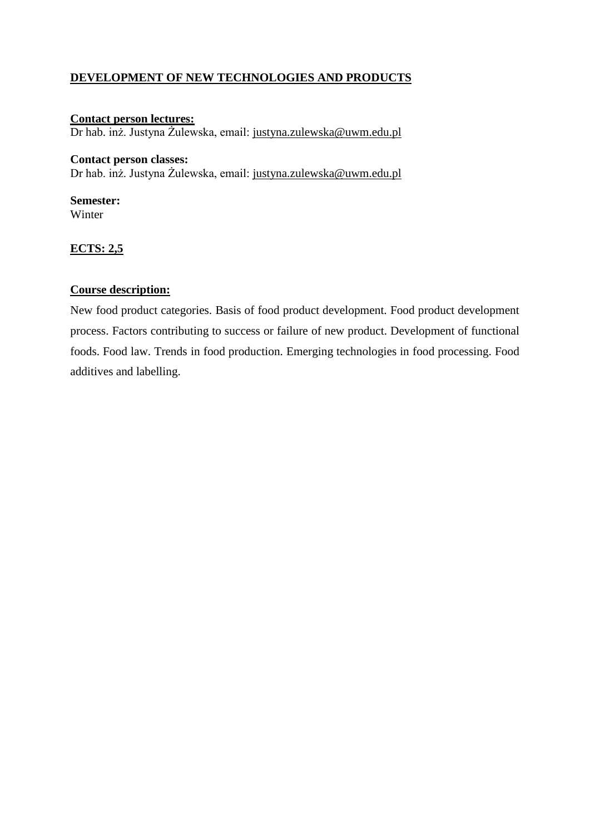## **DEVELOPMENT OF NEW TECHNOLOGIES AND PRODUCTS**

## **Contact person lectures:**

Dr hab. inż. Justyna Żulewska, email: [justyna.zulewska@uwm.edu.pl](mailto:justyna.zulewska@uwm.edu.pl)

### **Contact person classes:**

Dr hab. inż. Justyna Żulewska, email: [justyna.zulewska@uwm.edu.pl](mailto:justyna.zulewska@uwm.edu.pl)

## **Semester:**

Winter

## **ECTS: 2,5**

### **Course description:**

New food product categories. Basis of food product development. Food product development process. Factors contributing to success or failure of new product. Development of functional foods. Food law. Trends in food production. Emerging technologies in food processing. Food additives and labelling.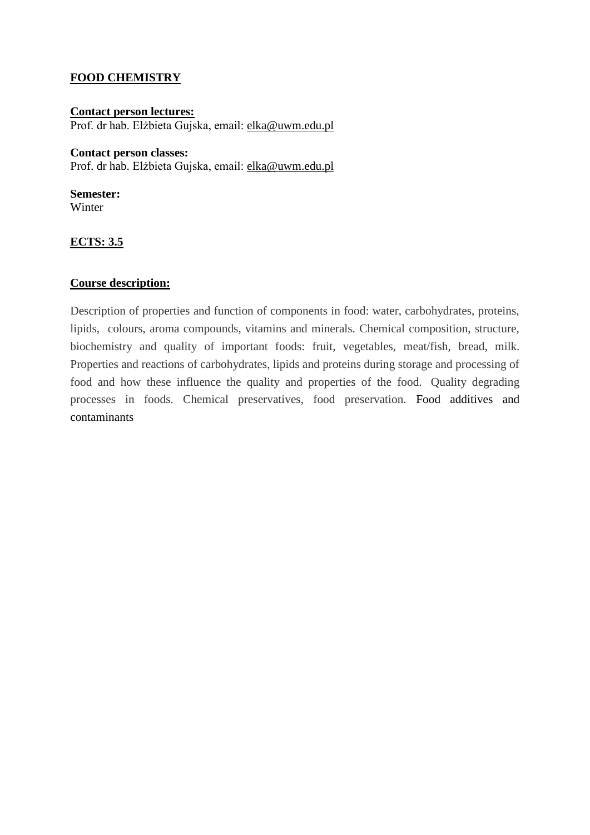## **FOOD CHEMISTRY**

### **Contact person lectures:**  Prof. dr hab. Elżbieta Gujska, email: [elka@uwm.edu.pl](mailto:elka@uwm.edu.pl)

### **Contact person classes:**

Prof. dr hab. Elżbieta Gujska, email: [elka@uwm.edu.pl](mailto:elka@uwm.edu.pl)

**Semester:** Winter

## **ECTS: 3.5**

### **Course description:**

Description of properties and function of components in food: water, carbohydrates, proteins, lipids, colours, aroma compounds, vitamins and minerals. Chemical composition, structure, biochemistry and quality of important foods: fruit, vegetables, meat/fish, bread, milk. Properties and reactions of carbohydrates, lipids and proteins during storage and processing of food and how these influence the quality and properties of the food. Quality degrading processes in foods. Chemical preservatives, food preservation. Food additives and contaminants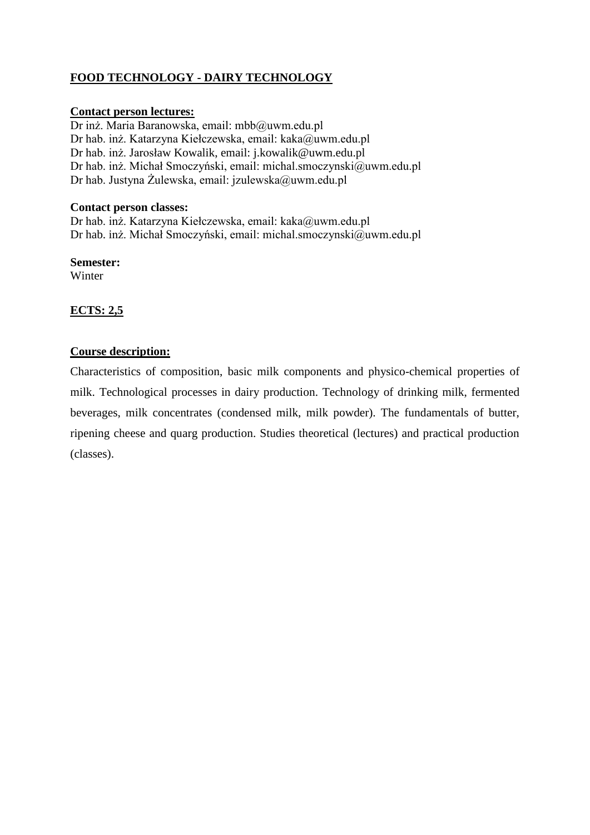## **FOOD TECHNOLOGY - DAIRY TECHNOLOGY**

### **Contact person lectures:**

Dr inż. Maria Baranowska, email: mbb@uwm.edu.pl Dr hab. inż. Katarzyna Kiełczewska, email: kaka@uwm.edu.pl Dr hab. inż. Jarosław Kowalik, email: j.kowalik@uwm.edu.pl Dr hab. inż. Michał Smoczyński, email: michal.smoczynski@uwm.edu.pl Dr hab. Justyna Żulewska, email: jzulewska@uwm.edu.pl

### **Contact person classes:**

Dr hab. inż. Katarzyna Kiełczewska, email: kaka@uwm.edu.pl Dr hab. inż. Michał Smoczyński, email: michal.smoczynski@uwm.edu.pl

**Semester:** Winter

## **ECTS: 2,5**

### **Course description:**

Characteristics of composition, basic milk components and physico-chemical properties of milk. Technological processes in dairy production. Technology of drinking milk, fermented beverages, milk concentrates (condensed milk, milk powder). The fundamentals of butter, ripening cheese and quarg production. Studies theoretical (lectures) and practical production (classes).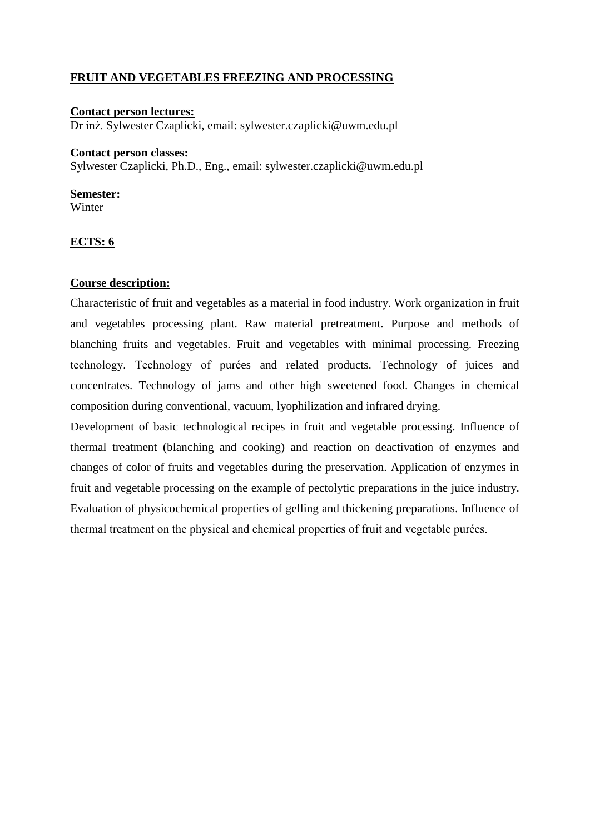## **FRUIT AND VEGETABLES FREEZING AND PROCESSING**

#### **Contact person lectures:**  Dr inż. Sylwester Czaplicki, email: sylwester.czaplicki@uwm.edu.pl

#### **Contact person classes:**

Sylwester Czaplicki, Ph.D., Eng., email: sylwester.czaplicki@uwm.edu.pl

#### **Semester:**

Winter

### **ECTS: 6**

#### **Course description:**

Characteristic of fruit and vegetables as a material in food industry. Work organization in fruit and vegetables processing plant. Raw material pretreatment. Purpose and methods of blanching fruits and vegetables. Fruit and vegetables with minimal processing. Freezing technology. Technology of purées and related products. Technology of juices and concentrates. Technology of jams and other high sweetened food. Changes in chemical composition during conventional, vacuum, lyophilization and infrared drying.

Development of basic technological recipes in fruit and vegetable processing. Influence of thermal treatment (blanching and cooking) and reaction on deactivation of enzymes and changes of color of fruits and vegetables during the preservation. Application of enzymes in fruit and vegetable processing on the example of pectolytic preparations in the juice industry. Evaluation of physicochemical properties of gelling and thickening preparations. Influence of thermal treatment on the physical and chemical properties of fruit and vegetable purées.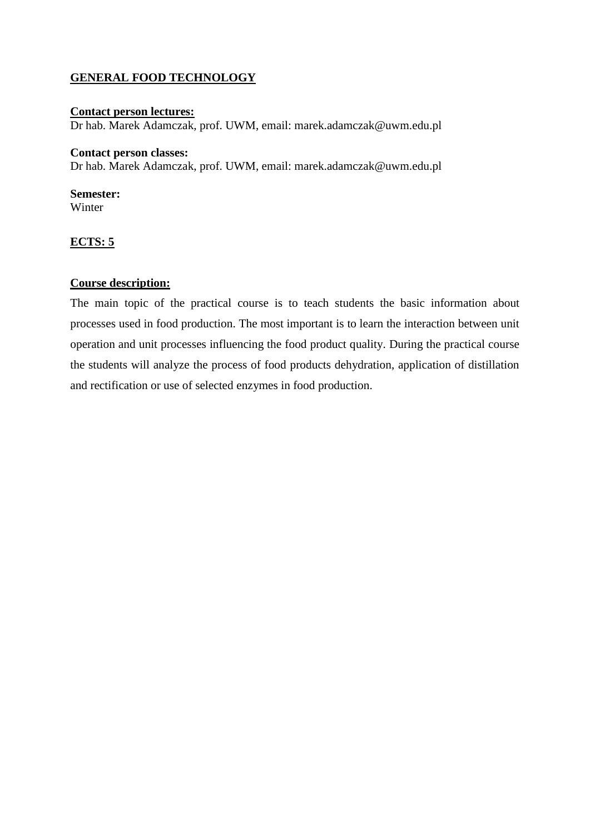## **GENERAL FOOD TECHNOLOGY**

### **Contact person lectures:**

Dr hab. Marek Adamczak, prof. UWM, email: marek.adamczak@uwm.edu.pl

### **Contact person classes:**

Dr hab. Marek Adamczak, prof. UWM, email: marek.adamczak@uwm.edu.pl

### **Semester:**

Winter

## **ECTS: 5**

## **Course description:**

The main topic of the practical course is to teach students the basic information about processes used in food production. The most important is to learn the interaction between unit operation and unit processes influencing the food product quality. During the practical course the students will analyze the process of food products dehydration, application of distillation and rectification or use of selected enzymes in food production.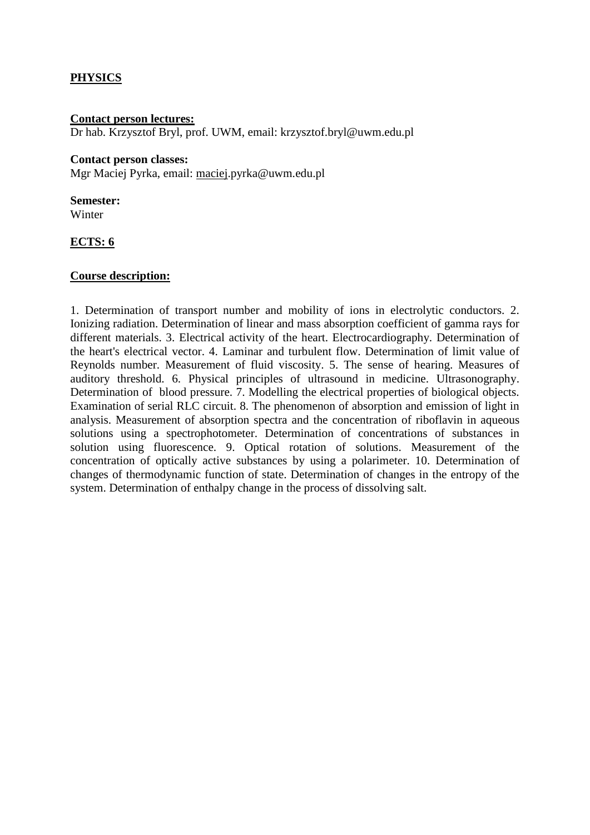## **PHYSICS**

#### **Contact person lectures:**

Dr hab. Krzysztof Bryl, prof. UWM, email: krzysztof.bryl@uwm.edu.pl

#### **Contact person classes:**

Mgr Maciej Pyrka, email: [maciej.](mailto:maciej)pyrka@uwm.edu.pl

# **Semester:**

Winter

## **ECTS: 6**

### **Course description:**

1. Determination of transport number and mobility of ions in electrolytic conductors. 2. Ionizing radiation. Determination of linear and mass absorption coefficient of gamma rays for different materials. 3. Electrical activity of the heart. Electrocardiography. Determination of the heart's electrical vector. 4. Laminar and turbulent flow. Determination of limit value of Reynolds number. Measurement of fluid viscosity. 5. The sense of hearing. Measures of auditory threshold. 6. Physical principles of ultrasound in medicine. Ultrasonography. Determination of blood pressure. 7. Modelling the electrical properties of biological objects. Examination of serial RLC circuit. 8. The phenomenon of absorption and emission of light in analysis. Measurement of absorption spectra and the concentration of riboflavin in aqueous solutions using a spectrophotometer. Determination of concentrations of substances in solution using fluorescence. 9. Optical rotation of solutions. Measurement of the concentration of optically active substances by using a polarimeter. 10. Determination of changes of thermodynamic function of state. Determination of changes in the entropy of the system. Determination of enthalpy change in the process of dissolving salt.